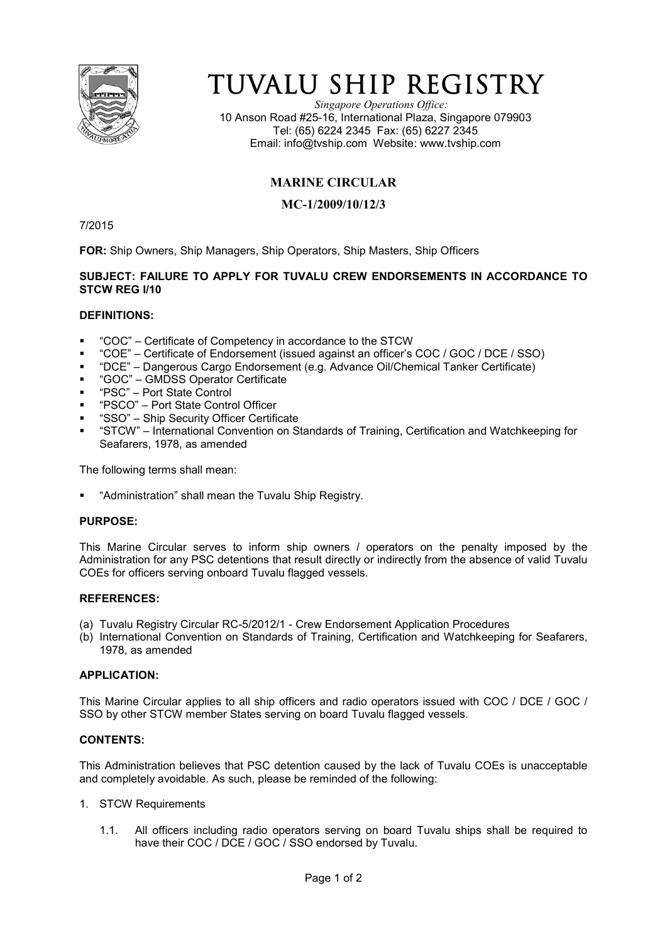

# TUVALU SHIP REGISTRY

*Singapore Operations Office:* 10 Anson Road #25-16, International Plaza, Singapore 079903 Tel: (65) 6224 2345 Fax: (65) 6227 2345 Email: info@tvship.com Website: www.tvship.com

## **MARINE CIRCULAR**

### **MC-1/2009/10/12/3**

7/2015

**FOR:** Ship Owners, Ship Managers, Ship Operators, Ship Masters, Ship Officers

### **SUBJECT: FAILURE TO APPLY FOR TUVALU CREW ENDORSEMENTS IN ACCORDANCE TO STCW REG I/10**

### **DEFINITIONS:**

- "COC" Certificate of Competency in accordance to the STCW
- "COE" Certificate of Endorsement (issued against an officer's COC / GOC / DCE / SSO)
- "DCE" Dangerous Cargo Endorsement (e.g. Advance Oil/Chemical Tanker Certificate)
- "GOC" GMDSS Operator Certificate
- "PSC" Port State Control
- "PSCO" Port State Control Officer
- "SSO" Ship Security Officer Certificate
- "STCW" International Convention on Standards of Training, Certification and Watchkeeping for Seafarers, 1978, as amended

The following terms shall mean:

"Administration" shall mean the Tuvalu Ship Registry.

### **PURPOSE:**

This Marine Circular serves to inform ship owners / operators on the penalty imposed by the Administration for any PSC detentions that result directly or indirectly from the absence of valid Tuvalu COEs for officers serving onboard Tuvalu flagged vessels.

#### **REFERENCES:**

- (a) Tuvalu Registry Circular RC-5/2012/1 Crew Endorsement Application Procedures
- (b) International Convention on Standards of Training, Certification and Watchkeeping for Seafarers, 1978, as amended

#### **APPLICATION:**

This Marine Circular applies to all ship officers and radio operators issued with COC / DCE / GOC / SSO by other STCW member States serving on board Tuvalu flagged vessels.

### **CONTENTS:**

This Administration believes that PSC detention caused by the lack of Tuvalu COEs is unacceptable and completely avoidable. As such, please be reminded of the following:

- 1. STCW Requirements
	- 1.1. All officers including radio operators serving on board Tuvalu ships shall be required to have their COC / DCE / GOC / SSO endorsed by Tuvalu.